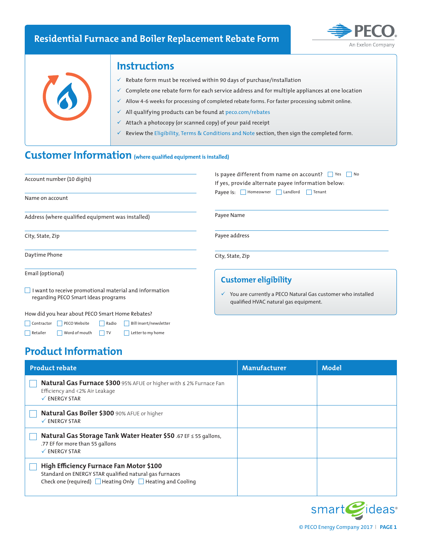## **Residential Furnace and Boiler Replacement Rebate Form**





### **Instructions**

- $\checkmark$  Rebate form must be received within 90 days of purchase/installation
- $\checkmark$  Complete one rebate form for each service address and for multiple appliances at one location
	- Allow 4-6 weeks for processing of completed rebate forms. For faster processing submit online.
- $\checkmark$  All qualifying products can be found at peco.com/rebates
- $\checkmark$  Attach a photocopy (or scanned copy) of your paid receipt
- Review the Eligibility, Terms & Conditions and Note section, then sign the completed form.

# **Customer Information (where qualified equipment is installed)**

| Account number (10 digits)                                                                           | Is payee different from name on account? $\Box$ Yes $\Box$ No<br>If yes, provide alternate payee information below: |  |  |
|------------------------------------------------------------------------------------------------------|---------------------------------------------------------------------------------------------------------------------|--|--|
| Name on account                                                                                      | Payee is: Homeowner I Landlord Tenant                                                                               |  |  |
| Address (where qualified equipment was installed)                                                    | Payee Name                                                                                                          |  |  |
| City, State, Zip                                                                                     | Payee address                                                                                                       |  |  |
| Daytime Phone                                                                                        | City, State, Zip                                                                                                    |  |  |
| Email (optional)                                                                                     | <b>Customer eligibility</b>                                                                                         |  |  |
| $\Box$ I want to receive promotional material and information<br>regarding PECO Smart Ideas programs | You are currently a PECO Natural Gas customer who installed<br>✓<br>qualified HVAC natural gas equipment.           |  |  |
| How did you hear about PECO Smart Home Rebates?                                                      |                                                                                                                     |  |  |

# **Product Information**

Contractor PECO Website Radio Bill insert/newsletter Retailer Word of mouth TV Letter to my home

| <b>Product rebate</b>                                                                                                                                                    | Manufacturer | Model |
|--------------------------------------------------------------------------------------------------------------------------------------------------------------------------|--------------|-------|
| Natural Gas Furnace \$300 95% AFUE or higher with < 2% Furnace Fan<br>Efficiency and <2% Air Leakage<br>$\checkmark$ ENERGY STAR                                         |              |       |
| Natural Gas Boiler \$300 90% AFUE or higher<br>$\checkmark$ ENERGY STAR                                                                                                  |              |       |
| Natural Gas Storage Tank Water Heater \$50 .67 EF < 55 gallons,<br>.77 EF for more than 55 gallons<br>$\checkmark$ ENERGY STAR                                           |              |       |
| High Efficiency Furnace Fan Motor \$100<br>Standard on ENERGY STAR qualified natural gas furnaces<br>Check one (required) $\Box$ Heating Only $\Box$ Heating and Cooling |              |       |

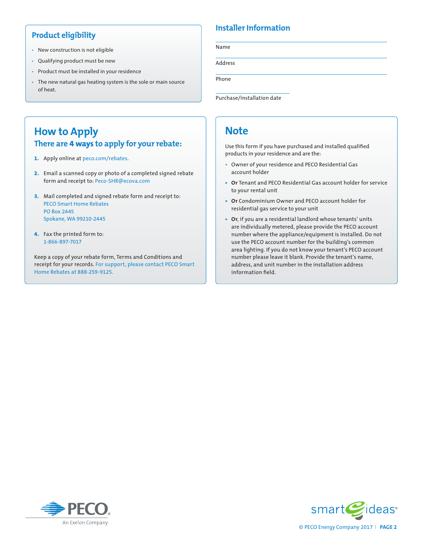#### **Product eligibility**

- New construction is not eligible
- Qualifying product must be new
- Product must be installed in your residence
- The new natural gas heating system is the sole or main source of heat.

#### **Installer Information**

Name

Address

Phone

Purchase/installation date

### **How to Apply There are 4 ways to apply for your rebate:**

- **1.** Apply online at peco.com/rebates.
- **2.** Email a scanned copy or photo of a completed signed rebate form and receipt to: Peco-SHR@ecova.com
- **3.** Mail completed and signed rebate form and receipt to: PECO Smart Home Rebates PO Box 2445 Spokane, WA 99210-2445
- **4.** Fax the printed form to: 1-866-897-7017

Keep a copy of your rebate form, Terms and Conditions and receipt for your records. For support, please contact PECO Smart Home Rebates at 888-259-9125.

## **Note**

Use this form if you have purchased and installed qualified products in your residence and are the:

- Owner of your residence and PECO Residential Gas account holder
- **• Or** Tenant and PECO Residential Gas account holder for service to your rental unit
- **• Or** Condominium Owner and PECO account holder for residential gas service to your unit
- **• Or**, if you are a residential landlord whose tenants' units are individually metered, please provide the PECO account number where the appliance/equipment is installed. Do not use the PECO account number for the building's common area lighting. If you do not know your tenant's PECO account number please leave it blank. Provide the tenant's name, address, and unit number in the installation address information field.